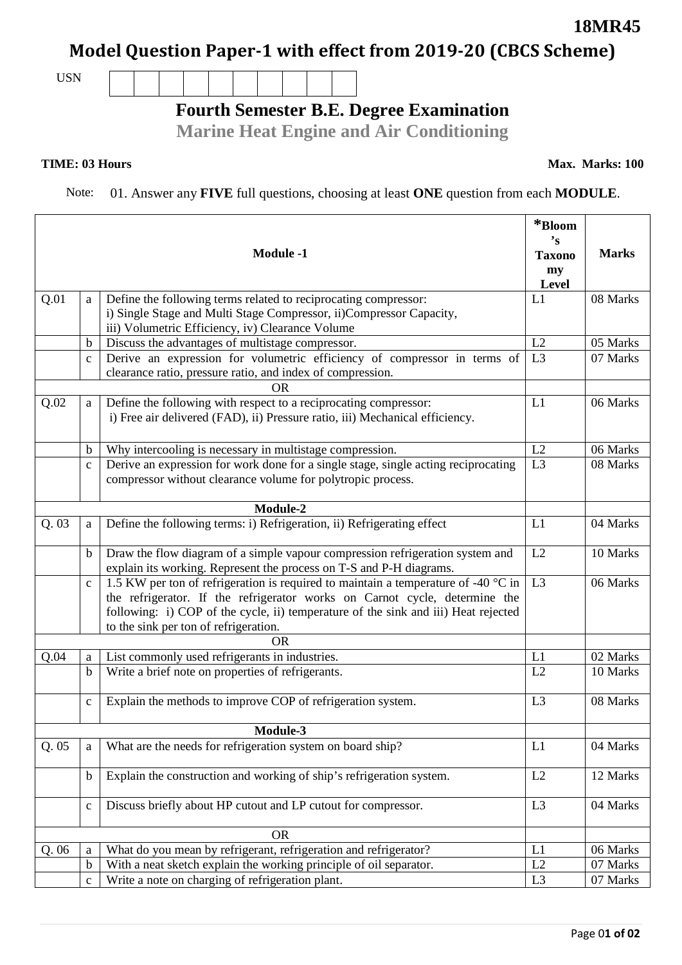## **Model Question Paper-1 with effect from 2019-20 (CBCS Scheme)**

USN

## **Fourth Semester B.E. Degree Examination**

**Marine Heat Engine and Air Conditioning**

## **TIME: 03 Hours**

Note: 01. Answer any **FIVE** full questions, choosing at least **ONE** question from each **MODULE**.

|           |              | <b>Module -1</b>                                                                                                                                                                                                                                                                                | *Bloom<br>$\mathbf{S}$<br><b>Taxono</b><br>my<br>Level | <b>Marks</b> |  |
|-----------|--------------|-------------------------------------------------------------------------------------------------------------------------------------------------------------------------------------------------------------------------------------------------------------------------------------------------|--------------------------------------------------------|--------------|--|
| Q.01      | a            | Define the following terms related to reciprocating compressor:                                                                                                                                                                                                                                 | L1                                                     | 08 Marks     |  |
|           |              | i) Single Stage and Multi Stage Compressor, ii)Compressor Capacity,                                                                                                                                                                                                                             |                                                        |              |  |
|           |              | iii) Volumetric Efficiency, iv) Clearance Volume                                                                                                                                                                                                                                                |                                                        |              |  |
|           | b            | Discuss the advantages of multistage compressor.                                                                                                                                                                                                                                                | L2                                                     | 05 Marks     |  |
|           | $\mathbf C$  | Derive an expression for volumetric efficiency of compressor in terms of                                                                                                                                                                                                                        | L <sub>3</sub>                                         | 07 Marks     |  |
|           |              | clearance ratio, pressure ratio, and index of compression.<br><b>OR</b>                                                                                                                                                                                                                         |                                                        |              |  |
|           |              |                                                                                                                                                                                                                                                                                                 | L1                                                     | 06 Marks     |  |
| Q.02      | a            | Define the following with respect to a reciprocating compressor:<br>i) Free air delivered (FAD), ii) Pressure ratio, iii) Mechanical efficiency.                                                                                                                                                |                                                        |              |  |
|           | $\mathbf b$  | Why intercooling is necessary in multistage compression.                                                                                                                                                                                                                                        | L2                                                     | 06 Marks     |  |
|           | $\mathbf{C}$ | Derive an expression for work done for a single stage, single acting reciprocating<br>compressor without clearance volume for polytropic process.                                                                                                                                               | L <sub>3</sub>                                         | 08 Marks     |  |
|           |              |                                                                                                                                                                                                                                                                                                 |                                                        |              |  |
| Q.03      | a            | Define the following terms: i) Refrigeration, ii) Refrigerating effect                                                                                                                                                                                                                          | L1                                                     | 04 Marks     |  |
|           | $\mathbf b$  | Draw the flow diagram of a simple vapour compression refrigeration system and                                                                                                                                                                                                                   | L2                                                     | 10 Marks     |  |
|           |              | explain its working. Represent the process on T-S and P-H diagrams.                                                                                                                                                                                                                             |                                                        |              |  |
|           | $\mathbf{C}$ | 1.5 KW per ton of refrigeration is required to maintain a temperature of -40 °C in<br>the refrigerator. If the refrigerator works on Carnot cycle, determine the<br>following: i) COP of the cycle, ii) temperature of the sink and iii) Heat rejected<br>to the sink per ton of refrigeration. | L <sub>3</sub>                                         | 06 Marks     |  |
|           |              | <b>OR</b>                                                                                                                                                                                                                                                                                       |                                                        |              |  |
| Q.04      | a            | List commonly used refrigerants in industries.                                                                                                                                                                                                                                                  | L1                                                     | 02 Marks     |  |
|           | b            | Write a brief note on properties of refrigerants.                                                                                                                                                                                                                                               | L2                                                     | 10 Marks     |  |
|           | $\mathbf c$  | Explain the methods to improve COP of refrigeration system.                                                                                                                                                                                                                                     | L3                                                     | 08 Marks     |  |
|           |              | Module-3                                                                                                                                                                                                                                                                                        |                                                        |              |  |
| Q.05      | a            | What are the needs for refrigeration system on board ship?                                                                                                                                                                                                                                      | L1                                                     | 04 Marks     |  |
|           | $\mathbf b$  | Explain the construction and working of ship's refrigeration system.                                                                                                                                                                                                                            | L2                                                     | 12 Marks     |  |
|           | $\mathbf{C}$ | Discuss briefly about HP cutout and LP cutout for compressor.                                                                                                                                                                                                                                   | L <sub>3</sub>                                         | 04 Marks     |  |
| <b>OR</b> |              |                                                                                                                                                                                                                                                                                                 |                                                        |              |  |
| Q.06      | a            | What do you mean by refrigerant, refrigeration and refrigerator?                                                                                                                                                                                                                                | L1                                                     | 06 Marks     |  |
|           | $\mathbf b$  | With a neat sketch explain the working principle of oil separator.                                                                                                                                                                                                                              | L2                                                     | 07 Marks     |  |
|           | $\mathbf C$  | Write a note on charging of refrigeration plant.                                                                                                                                                                                                                                                | L <sub>3</sub>                                         | 07 Marks     |  |

**Max. Marks: 100**

**18MR45**